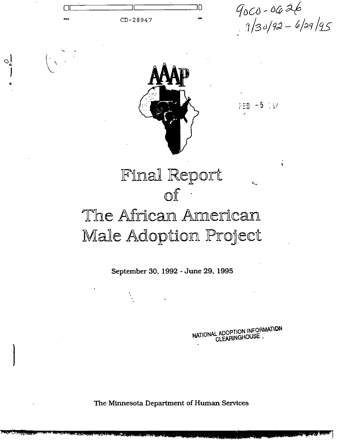

September 30, 1992 - June 29, 1995

NATIONAL ADOPTION INFORMATION CLEARINGHOUSE.

The Minnesota Department of Human Services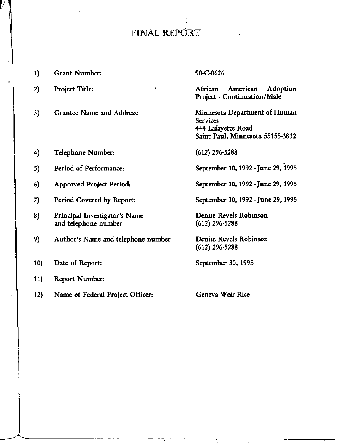# FINAL REPORT

,,

| 1)         | <b>Grant Number:</b>                                  | 90-C-0626                                                                                                  |
|------------|-------------------------------------------------------|------------------------------------------------------------------------------------------------------------|
| 2)         | Project Title:                                        | African<br>American<br>Adoption<br><b>Project - Continuation/Male</b>                                      |
| 3)         | <b>Grantee Name and Address:</b>                      | Minnesota Department of Human<br><b>Services</b><br>444 Lafayette Road<br>Saint Paul, Minnesota 55155-3832 |
| 4)         | <b>Telephone Number:</b>                              | $(612)$ 296-5288                                                                                           |
| 5)         | Period of Performance:                                | September 30, 1992 - June 29, 1995                                                                         |
| 6)         | <b>Approved Project Period:</b>                       | September 30, 1992 - June 29, 1995                                                                         |
| 7)         | Period Covered by Report:                             | September 30, 1992 - June 29, 1995                                                                         |
| 8)         | Principal Investigator's Name<br>and telephone number | <b>Denise Revels Robinson</b><br>$(612)$ 296-5288                                                          |
| 9)         | Author's Name and telephone number                    | Denise Revels Robinson<br>$(612)$ 296-5288                                                                 |
| 10)        | Date of Report:                                       | September 30, 1995                                                                                         |
| <b>11)</b> | <b>Report Number:</b>                                 |                                                                                                            |
| 12)        | Name of Federal Project Officer:                      | Geneva Weir-Rice                                                                                           |

.<br>- <del>. . . . . . .</del> .

 $\sim$   $\omega$ 

 $\sim$ 

—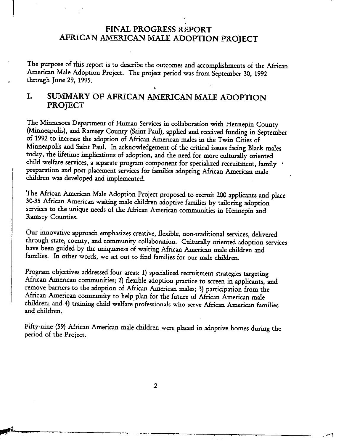### FINAL PROGRESS REPORT AFRICAN AMERICAN MALE ADOPTION PROJECT

**I**

**I**

,,

The purpose of this report is to describe the outcomes and accomphshments of the African American Male Adoption Project. The project period was from September 30, 1992 . through June 29, 1995.

.

## I. SUMMARY OF AFRICAN AMERICAN MALE ADOPTION PROJECT

The Minnesota Department of Human Services in collaboration with Hennepin County (Minneapolis), and Ramsey County (Saint Paul), applied and received funding in September of 1992 to increase the adoption of African American males in the Twin Cities of Minneapolis and Saint Paul. In acknowledgement of the critical issues facing Black males today, the lifetime implications of adoption, and the need for more culturally oriented child welfare services, a separate program component for specialized recruitment, family preparation and post placement services for families adopting African American male children was developed and implemented.

The African American Male Adoption Project proposed to recruit 200 applicants and place 30-35 African American waiting male children adoptive families by tailoring adoption services to the unique needs of the African American communities in Hennepin and Ramsey Counties.

Our innovative approach emphasizes creative, flexible, non-traditional services, delivered through state, county, and community collaboration. Culturally oriented adoption services have been guided by the uniqueness of waiting African American male children and families. In other words, we set out to find families for our male children.

Program objectives addressed four areas: 1) specialized recruitment strategies targeting African American communities; 2) flexible adoption practice to screen in applicants, and remove barriers to the adoption of African American males; 3) participation from the African American community to help plan for the future of African American male children; and 4) training child welfare professionals who serve African American families and children.

Fifty-nine (59) African American male children were placed in adoptive homes during the period of the Project.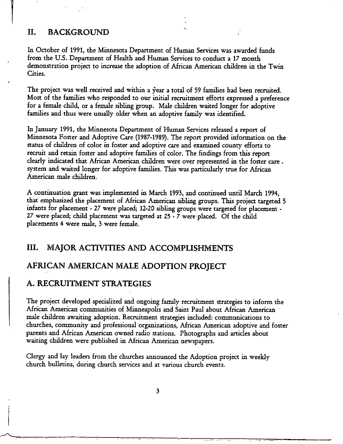#### II. BACKGROUND

In October of 1991, the Minnesota Department of Human Services was awarded funds from the U.S. Department of Health and Human Services to conduct a 17 month demonstration project to increase the adoption of African American children in the Twin Cities.

..

The project was well received and within a year a total of 59 families had been recruited. Most of the families who responded to our initial recruitment efforts expressed a preference for a female child, or a female sibling group. Male children waited longer for adoptive families and thus were usually older when an adoptive family was identified.

In January 1991, the Minnesota Department of Human Services released a report of Minnesota Foster and Adoptive Care (1987-1989). The report provided information on the status of children of color in foster and adoptive care and examined county efforts to recruit and retain foster and adoptive families of color. The findings from this report clearly indicated that African American children were over represented in the foster care. system and waited longer for adoptive families. This was particularly true for African American male children.

A continuation grant was implemented in March 1993, and continued until March 1994, that emphasized the placement of African American sibling groups. This project targeted 5 infants for placement - 27 were placed; 12-20 sibling groups were targeted for placement -27 were placed; child placement was targeted at  $25 - 7$  were placed. Of the child placements 4 were male, 3 were female.

### III. MAJOR ACTIVITIES AND ACCOMPLISHMENTS

#### AFRICAN AMERICAN MALE ADOPTION PROJECT

#### A. RECRUITMENT STRATEGIES

The project developed specialized and ongoing family recruitment strategies to inform the African American communities of Minneapolis and Saint Paul about African American male children awaiting adoption. Recruitment strategies included: communications to churches, community and professional organizations, African American adoptive and foster parents and African American owned radio stations. Photographs and articles about waiting children were published in African American newspapers.

Clergy and lay leaders from the churches announced the Adoption project in weekly church bulletins, during church services and at various church events.

**A . . . . ...... . . . . . ... . .. ,,**

3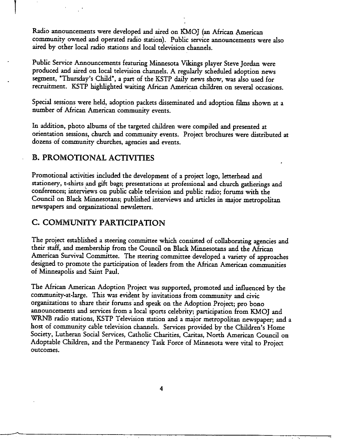Radio announcements were developed and aired on KMOJ (an African American community owned and operated radio station). Public service announcements were also aired by other local radio stations and local television channels.

Public Service Announcements featuring Minnesota Vikings player Steve Jordan were produced and aired on local television channels. A regularly scheduled adoption news segment, "Thursday's Child", a part of the KSTP daily news show, was also used for recruitment. KSTP highlighted waiting African American children on several occasions.

Special sessions were held, adoption packets disseminated and adoption fihns shown at a number of African American community events.

In addition, photo albums of the targeted children were compiled and presented at orientation sessions, church and community events. Project brochures were distributed at dozens of community churches, agencies and events.

#### **B. PROMOTIONAL ACTIVITIES**

Promotional activities included the development of a project logo, letterhead and stationery, t-shirts and gift bags; presentations at professional and church gatherings and conferences; interviews on public cable television and public radio; forums with the Council on Black Minnesotans; published interviews and articles in major metropolitan newspapers and organizational newsletters.

## C. COMMUNITY PARTICIPATION

The project established a steering committee which consisted of collaborating agencies and their staff, and membership from the Council on Black Minnesotans and the African American Survival Committee. The steering committee developed a variety of approaches designed to promote the participation of leaders from the African American communities of Minneapolis and Saint Paul.

The African American Adoption Project was supported, promoted and influenced by the community-at-large. This was evident by invitations from community and civic organizations to share their forums and speak on the Adoption Project; pro bono announcements and services from a local sports celebrity; participation from KMOJ and WRNB radio stations, KSTP Television station and a major metropolitan newspaper; and a host of community cable television channels. Services provided by the Children's Home Society, Lutheran Social Services, Catholic Charities, Caritas, North American Council on Adoptable Children, and the Permanency Task Force of Minnesota were vital to Project outcomes.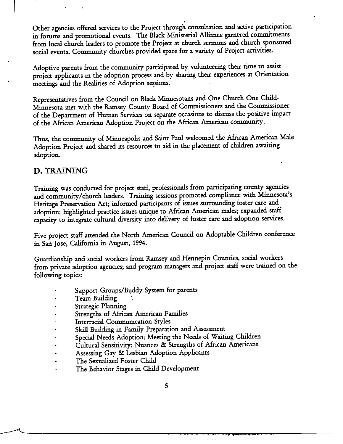Other agencies offered services to the Project through consultation and active participation in forums and promotional events. The Black Ministerial Alliance garnered commitments from local church leaders to promote the Project at church sermons and church sponsored social events. Community churches provided space for a variety of Project activities.

Adoptive parents from the community participated by volunteering their time to assist project applicants in the adoption process and by sharing their experiences at Orientation meetings and the Realities of Adoption sessions.

Representatives from the Council on Black Minnesotans and One Church One Child-Minnesota met with the Ramsey County Board of Commissioners and the Commissioner of the Department of Human Services on separate occasions to discuss the positive impact of the African American Adoption Project on the African American community.

Thus, the community of Minneapolis and Saint Paul welcomed the African American Male Adoption Project and shared its resources to aid in the placement of children awaiting adoption.

#### D. TRAINING

Training was conducted for project staff, professionals from participating county agencies and community/church leaders. Training sessions promoted compliance with Minnesota's Heritage Preservation Act; informed participants of issues surrounding foster care and adoption; highlighted practice issues unique to African American males; expanded staff capacity to integrate cultural diversity into delivery of foster care and adoption services.

Five project staff attended the North American Council on Adoptable Children conference in San Jose, California in August, 1994.

Guardianship and social workers from Ramsey and Hennepin Counties, social workers from private adoption agencies; and program managers and project staff were trained on the following topics:

- Support Groups/Buddy System for parents
- **Team Building**
- Strategic Planning
- **Strengths of African American Families**
- **Interracial Communication Styles**
- Skill Building in Family Preparation and Assessment
- Special Needs Adoption: Meeting the Needs of Waiting Children
- Cultural Sensitivity: Nuances & Strengths of African Americans
- Assessing Gay & Lesbian Adoption Applicants
- The Sexualized Foster Child
- The Behavior Stages in Child Development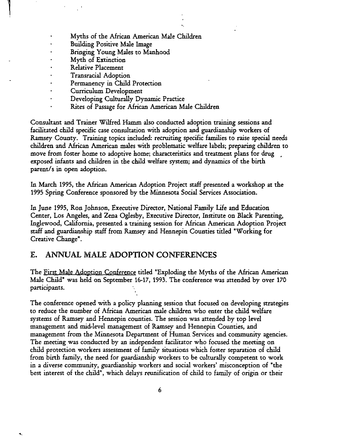- Myths of the African American Male Children
- Building Positive Male Image
- $\ddot{\phantom{0}}$ Bringing Young Males to Manhood
- Myth of Extinction
- Relative Placement
- Transracid Adoption
- Permanency in Child Protection
- Curriculum Development
- Developing Culturally Dynamic Practice
	- Rites of Passage for African American Male Children

Consultant and Trainer Wilfred Hamm also conducted adoption training sessions and facilitated child specific case consultation with adoption and guardianship workers of Ramsey County. Training topics included: recruiting specific families to raise special needs children and African American males with problematic welfare labels; preparing children to move from foster home to adoptive home; characteristics and treatment plans for drug exposed infants and children in the child welfare system; and dynamics of the birth parent/s in open adoption.

In March 1995, the African American Adoption Project staff presented a workshop at the 1995 Spring Conference sponsored by the Minnesota Social Services Association.

In June 1995, Ron Johnson, Executive Director, National Family Life and Education Center, Los Angeles, and Zena Oglesby, Executive Director, Institute on Black Parenting, Inglewood, California, presented a training session for African American Adoption Project staff and guardianship staff from Ramsey and Hennepin Counties titled "Working for Creative Change".

#### E. ANNUAL MALE ADOPTION CONFERENCES

The First Male Adoption Conference titled "Exploding the Myths of the African American Male Child" was held on September 16-17, 1993. The conference was attended by over 170 participants.

The conference opened with a policy planning session that focused on developing strategies to reduce the number of African American male children who enter the child welfare systems of Ramsey and Hennepin counties. The session was attended by top level management and mid-level management of Ramsey and Hennepin Counties, and management from the Minnesota Department of Human Services and community agencies. The meeting was conducted by an independent facilitator who focused the meeting on child protection workers assessment of family situations which foster separation of child from birth family, the need for guardianship workers to be culturally competent to work in a diverse community, guardianship workers and sociaf workers' misconception of "the best interest of the child", which delays reunification of child to family of origin or their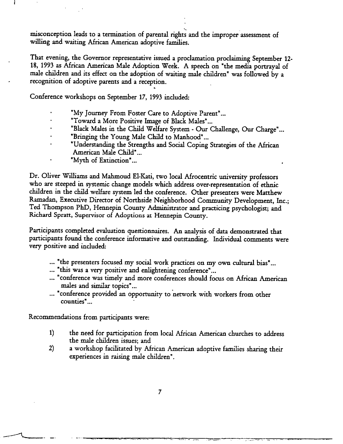.. misconception leads to a termination of parental rights and the improper assessment of willing and waiting African American adoptive families.

That evening, the Governor representative issued a proclamation proclaiming September 12-18, 1993 as African American Mde Adoption Week. A speech on "the media portrayal of male children and its effect on the adoption of waiting male children" was followed by a recognition of adoptive parents and a reception. .

Conference workshops on September 17, 1993 included:

 $\mathbf{I}$ 

- "My Journey From Foster Care to Adoptive Parent" ...
- "Toward a More Positive Image of Black Males"...
- "Black Males in the Child Welfare System Our Challenge, Our Charge"...
- "Bringing the Young Male Child to Manhood"...
- "Understanding the Strengths and Social Coping Strategies of the African American Male Child"...
	- "Myth of Extinction"...

Dr. Oliver Williams and Mahmoud El-Kati, two local Afrocentric university professors who are steeped in systemic change models which address over-representation of ethnic children in the child welfare system led the conference. Other presenters were Matthew Ramadan, Executive Director of Northside Neighborhood Community Development, Inc.; Ted Thompson PhD, Hennepin County Administrator and practicing psychologist; and Richard Spratt, Supervisor of Adoptions at Hennepin County.

Participants completed evaluation questionnaires. An analysis of data demonstrated that participants found the conference informative and outstanding. Individual comments were very positive and included:

- ... "the presenters focused my social work practices on my own cultural bias"...
- ... "this was a very positive and enlightening conference"...
- ... "conference was timely and more conferences should focus on African American males and similar topics"...
- ... "conference provided an opportunity to network with workers from other counties" ...

Recommendations from participants were

- 1) the need for participation from local African American churches to address the male children issues; and
- 2) a workshop facilitated by African American adoptive families sharing their experiences in raising male children".

—. . . ------ . .. .. . . ... . \_ .-.\_ . .... .. . . . .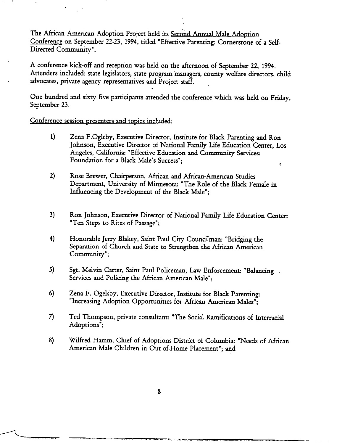The African American Adoption Project held its Second Annual Male Adoption Conference on September 22-23, 1994, titled "Effective Parenting: Cornerstone of a Self-Directed Community".

A conference kick-off and reception was held on the afternoon of September 22, 1994. Attenders included: state legislators, state program managers, county welfare directors, child advocates, private agency representatives and Project staff.

One hundred and sixty five participants attended the conference which was held on Friday, September 23.

#### Conference session presenters and topics included:

- $1)$ Zena F.Ogleby, Executive Director, Institute for Black Parenting and Ron Johnson, Executive Director of National Family Life Education Center, Los Angeles, California: "Effective Education and Community Services: Foundation for a Black Male's Success";
- $2)$ Rose Brewer, Chairperson, African and African-American Studies Department, University of Minnesota: "The Role of the Black Female in Influencing the Development of the Black Male";
- 3) Ron Johnson, Executive Director of National Family Life Education Center: "Ten Steps to Rites of Passage";
- 4) Honorable Jerry Blakey, Saint Paul City Councilman: "Bridging the Separation of Church and State to Strengthen the African American Community";
- 5) Sgt. Melvin Carter, Saint Paul Policeman, Law Enforcement: "Balancing... Services and Policing the African American Male";
- $6)$ Zena F. Ogelsby, Executive Director, Institute for Black Parenting: "Increasing Adoption Opportunities for African American Males";
- 7). Ted Thompson, private consultant: "The Social Ramifications of Interracial Adoptions":
- 8) Wilfred Hamm, Chief of Adoptions District of Columbia: "Needs of African American Male Children in Out-of-Home Placement"; and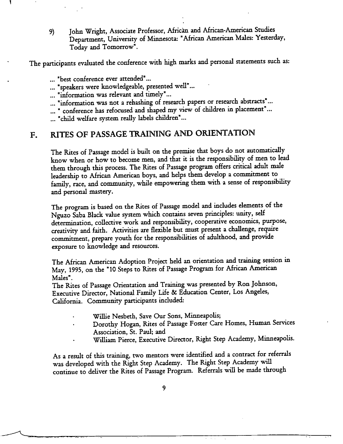9) John Wright, Associate Professor, African and African-American Studies Department, University of Minnesota: "African American Males: Yesterday, Today and Tomorrow".

The participants evaluated the conference with high marks and personal statements such as:

... "best conference ever attended"...

... "speakers were knowledgeable, presented well"...

... "information was rdevant and timely"...

- ... "information was not a rehashing of research papers or research abstracts" ...
- ... " conference has refocused and shaped my view of children in placement"...

... "child welfare system really labels children"...

#### RITES OF PASSAGE TRAINING AND ORIENTATION  $F_{\bullet}$

The Rites of Passage model is built on the premise that boys do not automatically know when or how to become men, and that it is the responsibility of men to lead them through this process. The Rites of Passage program offers critical adult male leadership to African American boys, and helps them develop a commitment to family, race, and community, while empowering them with a sense of responsibility and personal mastery.

The program is based on the Rites of Passage model and includes demerits of the Nguzo Saba Black value system which contains seven principles: unity, self determination, collective work and responsibility, cooperative economics, purpose, creativity and faith. Activities are flexible but must present a challenge, require commitment, prepare youth for the responsibilities of adulthood, and provide exposure to knowledge and resources.

The African American Adoption Project held an orientation and training session in May, 1995, on the "10 Steps to Rites of Passage Program for African American Males".

The Rites of Passage Orientation and Training was presented by Ron Johnson, Executive Director, National Family Life & Education Center, Los Angeles, California. Community participants included:

Willie Nesbeth, Save Our Sons, Minneapolis;

...- ,.

- Dorothy Hogan, Rites of Passage Foster Care Homes, Human Services Association, St. Paul; and
- William Pierce, Executive Director, Right Step Academy, Minneapolis.

 $\ddot{\phantom{0}}$ 

As a result of this training, two mentors were identified and a contract for referrals was developed with the Right Step Academy. The Right Step Academy will continue to deliver the Rites of Passage Program. Referrals will be made through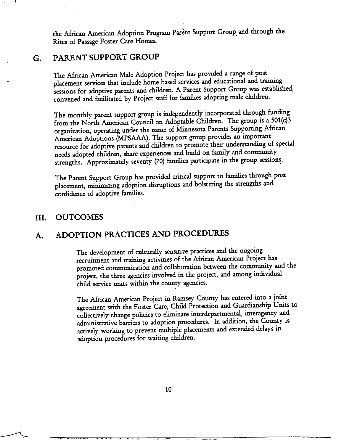the African American Adoption Program Parènt Support Group and through the Rites of Passage Foster Care Homes.

### G. PARENT SUPPORT GROUP

The African American Male Adoption Project has provided a range of post placement services that include home based services and educational and training sessions for adoptive parents and children. A Parent Support Group was established, convened and facilitated by Project staff for families adopting male children.

The monthly parent support group is independently incorporated through funding from the North American Council on Adoptable Children. The group is a 501(c)3 organization, operating under the name of Minnesota Parents Supporting African American Adoptions (MPSAAA). The support group provides an important resource for adoptive parents and tidren to promote their understanding of special needs adopted children, share experiences and build on family and community strengths. Approximately seventy (70) families participate in the group sessions.

The Parent Support Group has provided critical support to families through post placement, minimizing adoption disruptions and bolstering the strengths and confidence of adoptive families.

#### III. **OUTCOMES**

# A. ADOPTION PRACTICES AND PROCEDURES

The development of culturally sensitive practices and the ongoing recruitment md training activities of the Mrican American Project has promoted communication and collaboration between the community and the project, the three agencies involved in the project, and among individud child service units within the county agencies.

The African American Project in Ramsey County has entered into a joint agreement with the Foster Care, Child Protection and Guardianship Units to collectively change policies to eliminate interdepartmental, interagency and administrative barriers to adoption procedures. In addition, the County is actively working to prevent multiple placements and extended delays in adoption procedures for waiting children.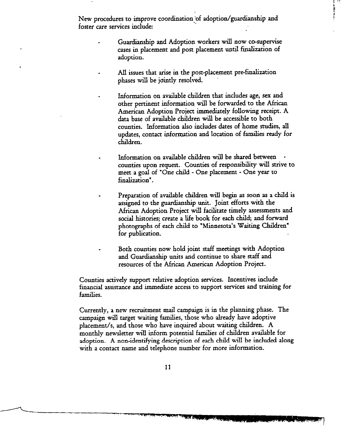New procedures to improve coordination of adoption/guardianship and foster care services include:

- Guardianship and Adoption workers will now co-supervise cases in placement and post placement until finalization of adoption.
- All issues that arise in the post-placement pre-finalization phases will be jointly resolved.
	- Information on available children that includes age, sex and other pertinent information will be forwarded to the African American Adoption Project immediately following receipt. A data base of available children will be accessible to both counties. Information also includes dates of home studies, all updates, contact information and location of families ready for children.
- Information on available children will be shared between counties upon request. Counties of responsibility will strive to meet a goal of "One child - One placement - One year to finalization".
- Preparation of available children will begin as soon as a child is assigned to the guardianship unit. Joint efforts with the African Adoption Project will facilitate timely assessments and social histories; create a life book for each child; and forward photographs of each child to "Minnesota's Waiting Children" for publication.
- Both counties now hold joint staff meetings with Adoption and Guardianship units and continue to share staff and resources of the African American Adoption Project.

Counties actively support relative adoption services. Incentives include financial assistance and immediate access to support services and traiuing for families.

Currently, a new recruitment mail campaign is in the planning phase. The campaign will target waiting families, those who already have adoptive placement/s, and those who have inquired about waiting children. A monthly newsletter will inform potential families of children available for adoption. A non-identifying description of each child will be included along with a contact name and telephone number for more information.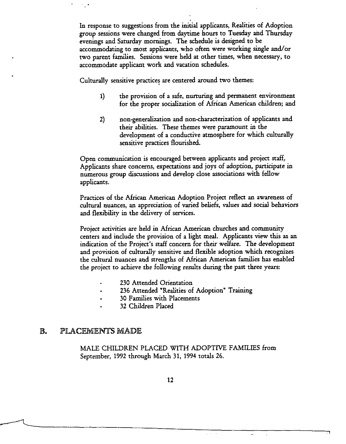In response to suggestions from the initial applicants, Realities of Adoption group sessions were changed from daytime hours to Tuesday and Thursday evenings and Saturday mornings. The schedule is designed to be accommodating to most applicants, who often were working single and/or two parent families. Sessions were held at other times, when necessary, to accommodate applicant work and vacation schedules.

Culturally sensitive practices are centered around two themes:

- 1) the provision of a safe, nurturing and permanent environment for the proper socialization of African American children; and
- 2) non-generalization and non-characterization of applicants and their abilities. These themes were paramount in the development of a conductive atmosphere for which culturally sensitive practices flourished.

Open communication is encouraged between apphcants and project staff, Applicants share concerns, expectations and joys of adoption, participate in numerous group discussions and develop close associations with fellow applicants.

Practices of the African American Adoption Project reflect an awareness of cultural nuances, an appreciation of varied beliefs, values and social behaviors and flexibility in the delivery of services.

Project activities are held in African American churches and community centers and include the provision of a light meal. Applicants view this as an indication of the Project's staff concern for their welfare. The development and provision of culturally sensitive and flexible adoption which recognizes the cultural nuances and strengths of African American families has enabled the project to achieve the following results during the past three years:

- 230 Attended Orientation
- 236 Attended "Realities of Adoption" Training
- 30 Families with Placements
- 32 Children Placed

#### $\mathbb{B}$ . PLACEMENTS MADE

.

MALE CHILDREN PLACED WITH ADOPTIVE FAMILIES from September, 1992 through March 31, 1994 totals 26.

.

 $\omega_{\rm{eff}}$  ,  $\omega_{\rm{eff}}$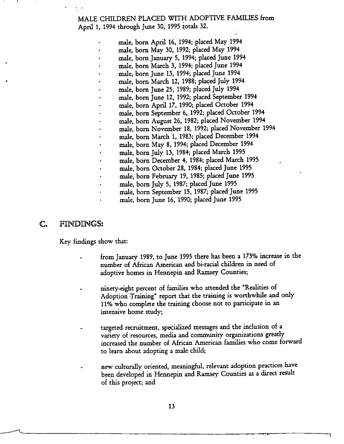MALE CHILDREN PLACED WITH ADOPTIVE FAMILIES from April 1, 1994 through June 30, 1995 totals 32.

- male, born April 16, 1994; placed May 1994 male, born May 30, 1992; placed May 1994 male, born January 5, 1994; placed June 1994 male, born March 3, 1994; placed June 1994 male, born June 13, 1994; placed June 1994 male, born March 12, 1988; placed July 1994 male, born June 25, 1989; placed July 1994 male, born June 12, 1992; placed September 1994 male, born April 17, 1990; placed October 1994 male, born September 6, 1992; placed October 1994 male, born August 26, 1982; placed November 1994 male, born November 18, 1992; placed November 1994 male, born March 1, 1983; placed December 1994 male, born May 8, 1994; placed December 1994 male, born July 13, 1984; placed March 1995 male, born December 4, 1984; placed March 1995 male, born October 28, 1984; placed June 1995 male, born February 19, 1985; placed June 1995 male, born July 5, 1987; placed June 1995
- male, born September 15, 1987; placed June 1995
- male, born June 16, 1990; placed June 1995

#### C. FINDINGS:

!,

.

Key findings show thar

- from January 1989, to June 1995 there has been a 173% increase in the number of African American and bi-racial children in need of adoptive homes in Hennepin and Ramsey Counties
- ninety-eight percent of families who attended the "Realities of Adoption Training" report that the training is worthwhile and only 11% who complete the training choose not to participate in an intensive home study,
- targeted recruitment, specialized messages and the inclusion of a variety of resources, media and community organizations greatly increased the number of African American families who come forward to learn about adopting a male child;
- new culturally oriented, meaningful, relevant adoption practices have been developed in Hennepin and Ramsey Counties as a direct result of this project; and